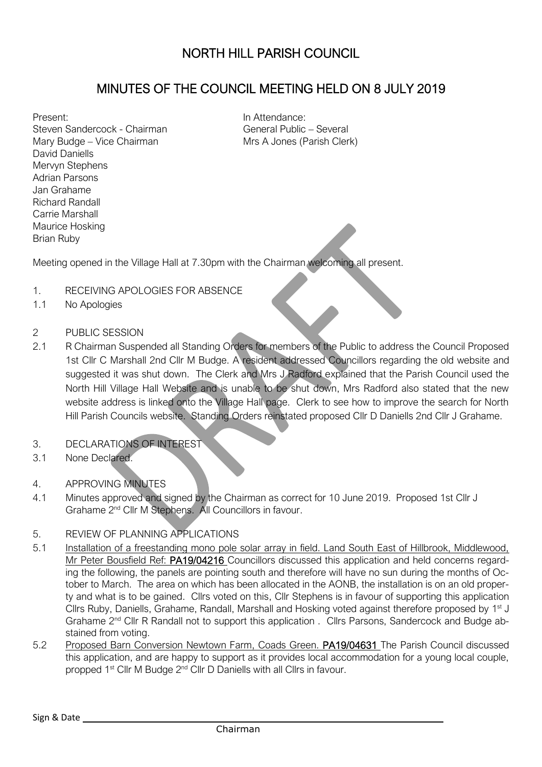## MINUTES OF THE COUNCIL MEETING HELD ON 8 JULY 2019

Present: Steven Sandercock - Chairman Mary Budge – Vice Chairman David Daniells Mervyn Stephens Adrian Parsons Jan Grahame Richard Randall Carrie Marshall Maurice Hosking Brian Ruby

In Attendance: General Public – Several Mrs A Jones (Parish Clerk)

Meeting opened in the Village Hall at 7.30pm with the Chairman welcoming all present.

- 1. RECEIVING APOLOGIES FOR ABSENCE
- 1.1 No Apologies
- 2 PUBLIC SESSION
- 2.1 R Chairman Suspended all Standing Orders for members of the Public to address the Council Proposed 1st Cllr C Marshall 2nd Cllr M Budge. A resident addressed Councillors regarding the old website and suggested it was shut down. The Clerk and Mrs J Radford explained that the Parish Council used the North Hill Village Hall Website and is unable to be shut down, Mrs Radford also stated that the new website address is linked onto the Village Hall page. Clerk to see how to improve the search for North Hill Parish Councils website. Standing Orders reinstated proposed Cllr D Daniells 2nd Cllr J Grahame.
- 3. DECLARATIONS OF INTEREST
- 3.1 None Declared.
- 4. APPROVING MINUTES
- 4.1 Minutes approved and signed by the Chairman as correct for 10 June 2019. Proposed 1st Cllr J Grahame 2<sup>nd</sup> Cllr M Stephens. All Councillors in favour.
- 5. REVIEW OF PLANNING APPLICATIONS
- 5.1 Installation of a freestanding mono pole solar array in field. Land South East of Hillbrook, Middlewood, Mr Peter Bousfield Ref: PA19/04216 Councillors discussed this application and held concerns regarding the following, the panels are pointing south and therefore will have no sun during the months of October to March. The area on which has been allocated in the AONB, the installation is on an old property and what is to be gained. Cllrs voted on this, Cllr Stephens is in favour of supporting this application Cllrs Ruby, Daniells, Grahame, Randall, Marshall and Hosking voted against therefore proposed by 1<sup>st</sup> J Grahame 2nd Cllr R Randall not to support this application . Cllrs Parsons, Sandercock and Budge abstained from voting.
- 5.2 Proposed Barn Conversion Newtown Farm, Coads Green. PA19/04631 The Parish Council discussed this application, and are happy to support as it provides local accommodation for a young local couple, propped 1<sup>st</sup> Cllr M Budge 2<sup>nd</sup> Cllr D Daniells with all Cllrs in favour.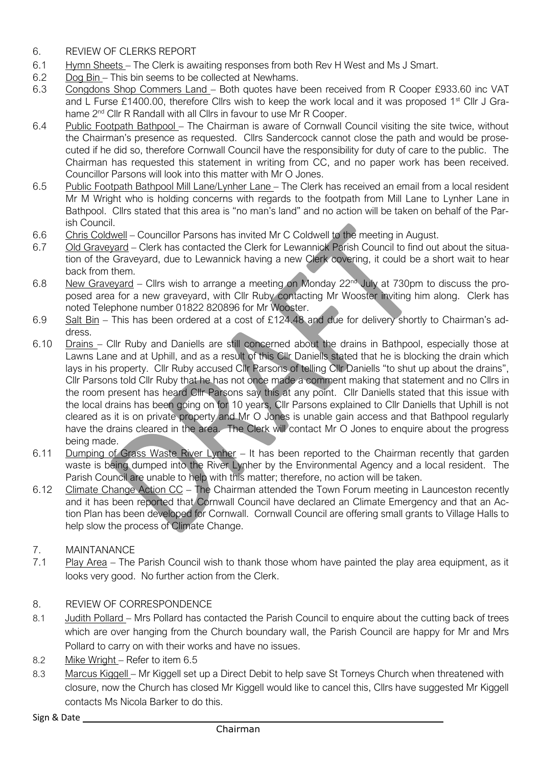- 6. REVIEW OF CLERKS REPORT
- 6.1 Hymn Sheets The Clerk is awaiting responses from both Rev H West and Ms J Smart.
- 6.2 Dog Bin This bin seems to be collected at Newhams.
- 6.3 Congdons Shop Commers Land Both quotes have been received from R Cooper £933.60 inc VAT and L Furse £1400.00, therefore Cllrs wish to keep the work local and it was proposed 1<sup>st</sup> Cllr J Grahame 2<sup>nd</sup> Cllr R Randall with all Cllrs in favour to use Mr R Cooper.
- 6.4 Public Footpath Bathpool The Chairman is aware of Cornwall Council visiting the site twice, without the Chairman's presence as requested. Cllrs Sandercock cannot close the path and would be prosecuted if he did so, therefore Cornwall Council have the responsibility for duty of care to the public. The Chairman has requested this statement in writing from CC, and no paper work has been received. Councillor Parsons will look into this matter with Mr O Jones.
- 6.5 Public Footpath Bathpool Mill Lane/Lynher Lane The Clerk has received an email from a local resident Mr M Wright who is holding concerns with regards to the footpath from Mill Lane to Lynher Lane in Bathpool. Cllrs stated that this area is "no man's land" and no action will be taken on behalf of the Parish Council.
- 6.6 Chris Coldwell Councillor Parsons has invited Mr C Coldwell to the meeting in August.
- 6.7 Old Graveyard Clerk has contacted the Clerk for Lewannick Parish Council to find out about the situation of the Graveyard, due to Lewannick having a new Clerk covering, it could be a short wait to hear back from them.
- 6.8 New Graveyard Cllrs wish to arrange a meeting on Monday 22nd July at 730pm to discuss the proposed area for a new graveyard, with Cllr Ruby contacting Mr Wooster inviting him along. Clerk has noted Telephone number 01822 820896 for Mr Wooster.
- 6.9 Salt Bin This has been ordered at a cost of £124.48 and due for delivery shortly to Chairman's address.
- 6.10 Drains Cllr Ruby and Daniells are still concerned about the drains in Bathpool, especially those at Lawns Lane and at Uphill, and as a result of this Cllr Daniells stated that he is blocking the drain which lays in his property. Cllr Ruby accused Cllr Parsons of telling Cllr Daniells "to shut up about the drains", Cllr Parsons told Cllr Ruby that he has not once made a comment making that statement and no Cllrs in the room present has heard Cllr Parsons say this at any point. Cllr Daniells stated that this issue with the local drains has been going on for 10 years, Cllr Parsons explained to Cllr Daniells that Uphill is not cleared as it is on private property and Mr O Jones is unable gain access and that Bathpool regularly have the drains cleared in the area. The Clerk will contact Mr O Jones to enquire about the progress being made.
- 6.11 Dumping of Grass Waste River Lynher It has been reported to the Chairman recently that garden waste is being dumped into the River Lynher by the Environmental Agency and a local resident. The Parish Council are unable to help with this matter; therefore, no action will be taken.
- 6.12 Climate Change Action CC The Chairman attended the Town Forum meeting in Launceston recently and it has been reported that Cornwall Council have declared an Climate Emergency and that an Action Plan has been developed for Cornwall. Cornwall Council are offering small grants to Village Halls to help slow the process of Climate Change.

## 7. MAINTANANCE

7.1 Play Area – The Parish Council wish to thank those whom have painted the play area equipment, as it looks very good. No further action from the Clerk.

## 8. REVIEW OF CORRESPONDENCE

- 8.1 Judith Pollard Mrs Pollard has contacted the Parish Council to enquire about the cutting back of trees which are over hanging from the Church boundary wall, the Parish Council are happy for Mr and Mrs Pollard to carry on with their works and have no issues.
- 8.2 Mike Wright Refer to item 6.5
- 8.3 Marcus Kiggell Mr Kiggell set up a Direct Debit to help save St Torneys Church when threatened with closure, now the Church has closed Mr Kiggell would like to cancel this, Cllrs have suggested Mr Kiggell contacts Ms Nicola Barker to do this.